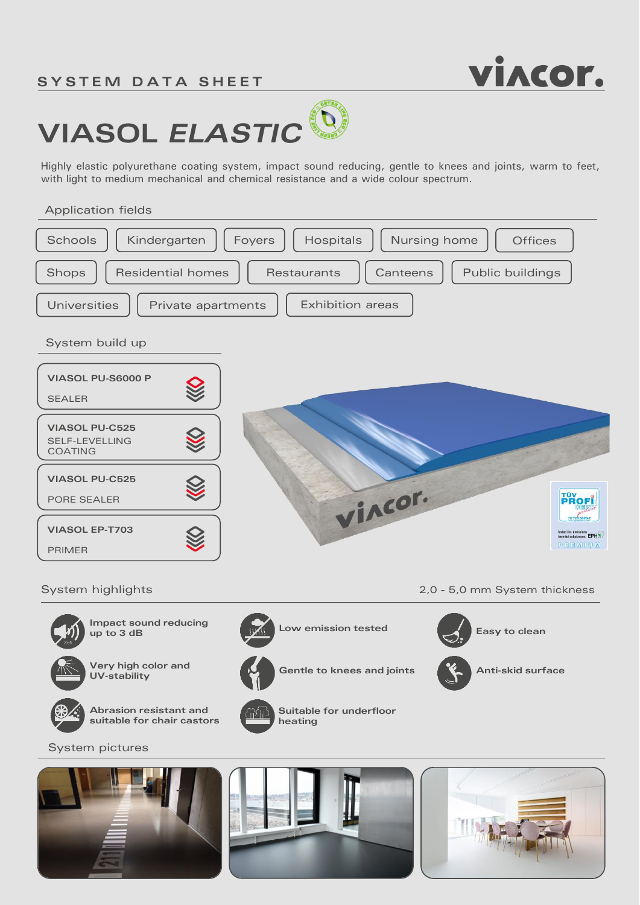# **SYSTEM DATA SHEET**



# GREEN **VIASOL** *ELASTIC*

Highly elastic polyurethane coating system, impact sound reducing, gentle to knees and joints, warm to feet, with light to medium mechanical and chemical resistance and a wide colour spectrum.

### Application fields



System pictures



**suitable for chair castors**



**heating**